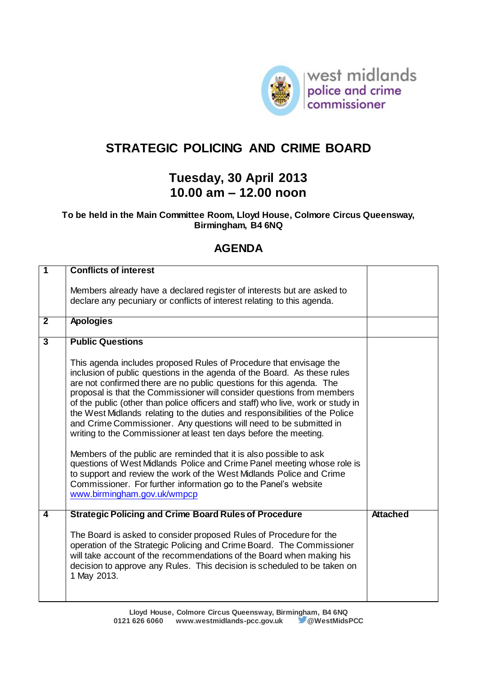

## **STRATEGIC POLICING AND CRIME BOARD**

## **Tuesday, 30 April 2013 10.00 am – 12.00 noon**

## **To be held in the Main Committee Room, Lloyd House, Colmore Circus Queensway, Birmingham, B4 6NQ**

## **AGENDA**

| $\overline{\mathbf{1}}$ | <b>Conflicts of interest</b>                                                                                                                                                                                                                                                                                                                                                                                                                                                                                                                                                                                  |                 |
|-------------------------|---------------------------------------------------------------------------------------------------------------------------------------------------------------------------------------------------------------------------------------------------------------------------------------------------------------------------------------------------------------------------------------------------------------------------------------------------------------------------------------------------------------------------------------------------------------------------------------------------------------|-----------------|
|                         |                                                                                                                                                                                                                                                                                                                                                                                                                                                                                                                                                                                                               |                 |
|                         | Members already have a declared register of interests but are asked to                                                                                                                                                                                                                                                                                                                                                                                                                                                                                                                                        |                 |
|                         | declare any pecuniary or conflicts of interest relating to this agenda.                                                                                                                                                                                                                                                                                                                                                                                                                                                                                                                                       |                 |
|                         |                                                                                                                                                                                                                                                                                                                                                                                                                                                                                                                                                                                                               |                 |
| $\overline{2}$          | <b>Apologies</b>                                                                                                                                                                                                                                                                                                                                                                                                                                                                                                                                                                                              |                 |
|                         |                                                                                                                                                                                                                                                                                                                                                                                                                                                                                                                                                                                                               |                 |
| $\overline{3}$          | <b>Public Questions</b>                                                                                                                                                                                                                                                                                                                                                                                                                                                                                                                                                                                       |                 |
|                         | This agenda includes proposed Rules of Procedure that envisage the<br>inclusion of public questions in the agenda of the Board. As these rules<br>are not confirmed there are no public questions for this agenda. The<br>proposal is that the Commissioner will consider questions from members<br>of the public (other than police officers and staff) who live, work or study in<br>the West Midlands relating to the duties and responsibilities of the Police<br>and Crime Commissioner. Any questions will need to be submitted in<br>writing to the Commissioner at least ten days before the meeting. |                 |
|                         | Members of the public are reminded that it is also possible to ask<br>questions of West Midlands Police and Crime Panel meeting whose role is<br>to support and review the work of the West Midlands Police and Crime<br>Commissioner. For further information go to the Panel's website<br>www.birmingham.gov.uk/wmpcp                                                                                                                                                                                                                                                                                       |                 |
| $\overline{\mathbf{A}}$ | <b>Strategic Policing and Crime Board Rules of Procedure</b>                                                                                                                                                                                                                                                                                                                                                                                                                                                                                                                                                  | <b>Attached</b> |
|                         | The Board is asked to consider proposed Rules of Procedure for the<br>operation of the Strategic Policing and Crime Board. The Commissioner<br>will take account of the recommendations of the Board when making his<br>decision to approve any Rules. This decision is scheduled to be taken on<br>1 May 2013.                                                                                                                                                                                                                                                                                               |                 |